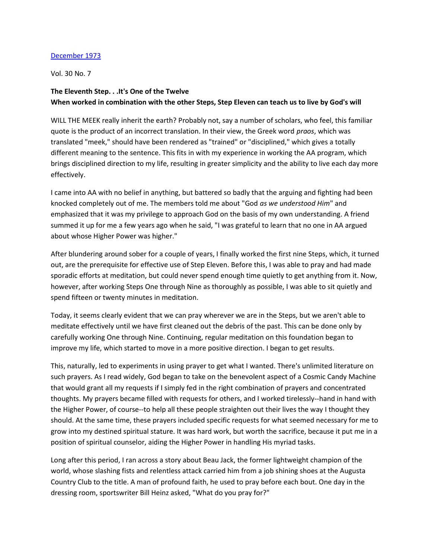## December 1973

Vol. 30 No. 7

## The Eleventh Step. . .It's One of the Twelve When worked in combination with the other Steps, Step Eleven can teach us to live by God's will

WILL THE MEEK really inherit the earth? Probably not, say a number of scholars, who feel, this familiar quote is the product of an incorrect translation. In their view, the Greek word praos, which was translated "meek," should have been rendered as "trained" or "disciplined," which gives a totally different meaning to the sentence. This fits in with my experience in working the AA program, which brings disciplined direction to my life, resulting in greater simplicity and the ability to live each day more effectively.

I came into AA with no belief in anything, but battered so badly that the arguing and fighting had been knocked completely out of me. The members told me about "God as we understood Him" and emphasized that it was my privilege to approach God on the basis of my own understanding. A friend summed it up for me a few years ago when he said, "I was grateful to learn that no one in AA argued about whose Higher Power was higher."

After blundering around sober for a couple of years, I finally worked the first nine Steps, which, it turned out, are the prerequisite for effective use of Step Eleven. Before this, I was able to pray and had made sporadic efforts at meditation, but could never spend enough time quietly to get anything from it. Now, however, after working Steps One through Nine as thoroughly as possible, I was able to sit quietly and spend fifteen or twenty minutes in meditation.

Today, it seems clearly evident that we can pray wherever we are in the Steps, but we aren't able to meditate effectively until we have first cleaned out the debris of the past. This can be done only by carefully working One through Nine. Continuing, regular meditation on this foundation began to improve my life, which started to move in a more positive direction. I began to get results.

This, naturally, led to experiments in using prayer to get what I wanted. There's unlimited literature on such prayers. As I read widely, God began to take on the benevolent aspect of a Cosmic Candy Machine that would grant all my requests if I simply fed in the right combination of prayers and concentrated thoughts. My prayers became filled with requests for others, and I worked tirelessly--hand in hand with the Higher Power, of course--to help all these people straighten out their lives the way I thought they should. At the same time, these prayers included specific requests for what seemed necessary for me to grow into my destined spiritual stature. It was hard work, but worth the sacrifice, because it put me in a position of spiritual counselor, aiding the Higher Power in handling His myriad tasks.

Long after this period, I ran across a story about Beau Jack, the former lightweight champion of the world, whose slashing fists and relentless attack carried him from a job shining shoes at the Augusta Country Club to the title. A man of profound faith, he used to pray before each bout. One day in the dressing room, sportswriter Bill Heinz asked, "What do you pray for?"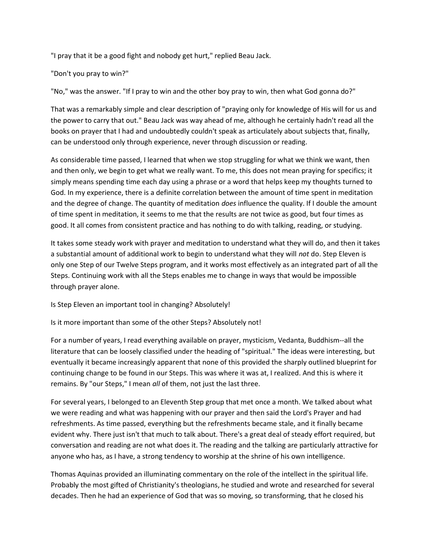"I pray that it be a good fight and nobody get hurt," replied Beau Jack.

## "Don't you pray to win?"

"No," was the answer. "If I pray to win and the other boy pray to win, then what God gonna do?"

That was a remarkably simple and clear description of "praying only for knowledge of His will for us and the power to carry that out." Beau Jack was way ahead of me, although he certainly hadn't read all the books on prayer that I had and undoubtedly couldn't speak as articulately about subjects that, finally, can be understood only through experience, never through discussion or reading.

As considerable time passed, I learned that when we stop struggling for what we think we want, then and then only, we begin to get what we really want. To me, this does not mean praying for specifics; it simply means spending time each day using a phrase or a word that helps keep my thoughts turned to God. In my experience, there is a definite correlation between the amount of time spent in meditation and the degree of change. The quantity of meditation *does* influence the quality. If I double the amount of time spent in meditation, it seems to me that the results are not twice as good, but four times as good. It all comes from consistent practice and has nothing to do with talking, reading, or studying.

It takes some steady work with prayer and meditation to understand what they will do, and then it takes a substantial amount of additional work to begin to understand what they will not do. Step Eleven is only one Step of our Twelve Steps program, and it works most effectively as an integrated part of all the Steps. Continuing work with all the Steps enables me to change in ways that would be impossible through prayer alone.

Is Step Eleven an important tool in changing? Absolutely!

Is it more important than some of the other Steps? Absolutely not!

For a number of years, I read everything available on prayer, mysticism, Vedanta, Buddhism--all the literature that can be loosely classified under the heading of "spiritual." The ideas were interesting, but eventually it became increasingly apparent that none of this provided the sharply outlined blueprint for continuing change to be found in our Steps. This was where it was at, I realized. And this is where it remains. By "our Steps," I mean all of them, not just the last three.

For several years, I belonged to an Eleventh Step group that met once a month. We talked about what we were reading and what was happening with our prayer and then said the Lord's Prayer and had refreshments. As time passed, everything but the refreshments became stale, and it finally became evident why. There just isn't that much to talk about. There's a great deal of steady effort required, but conversation and reading are not what does it. The reading and the talking are particularly attractive for anyone who has, as I have, a strong tendency to worship at the shrine of his own intelligence.

Thomas Aquinas provided an illuminating commentary on the role of the intellect in the spiritual life. Probably the most gifted of Christianity's theologians, he studied and wrote and researched for several decades. Then he had an experience of God that was so moving, so transforming, that he closed his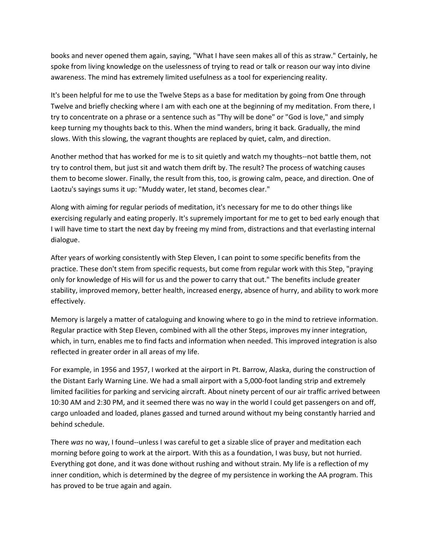books and never opened them again, saying, "What I have seen makes all of this as straw." Certainly, he spoke from living knowledge on the uselessness of trying to read or talk or reason our way into divine awareness. The mind has extremely limited usefulness as a tool for experiencing reality.

It's been helpful for me to use the Twelve Steps as a base for meditation by going from One through Twelve and briefly checking where I am with each one at the beginning of my meditation. From there, I try to concentrate on a phrase or a sentence such as "Thy will be done" or "God is love," and simply keep turning my thoughts back to this. When the mind wanders, bring it back. Gradually, the mind slows. With this slowing, the vagrant thoughts are replaced by quiet, calm, and direction.

Another method that has worked for me is to sit quietly and watch my thoughts--not battle them, not try to control them, but just sit and watch them drift by. The result? The process of watching causes them to become slower. Finally, the result from this, too, is growing calm, peace, and direction. One of Laotzu's sayings sums it up: "Muddy water, let stand, becomes clear."

Along with aiming for regular periods of meditation, it's necessary for me to do other things like exercising regularly and eating properly. It's supremely important for me to get to bed early enough that I will have time to start the next day by freeing my mind from, distractions and that everlasting internal dialogue.

After years of working consistently with Step Eleven, I can point to some specific benefits from the practice. These don't stem from specific requests, but come from regular work with this Step, "praying only for knowledge of His will for us and the power to carry that out." The benefits include greater stability, improved memory, better health, increased energy, absence of hurry, and ability to work more effectively.

Memory is largely a matter of cataloguing and knowing where to go in the mind to retrieve information. Regular practice with Step Eleven, combined with all the other Steps, improves my inner integration, which, in turn, enables me to find facts and information when needed. This improved integration is also reflected in greater order in all areas of my life.

For example, in 1956 and 1957, I worked at the airport in Pt. Barrow, Alaska, during the construction of the Distant Early Warning Line. We had a small airport with a 5,000-foot landing strip and extremely limited facilities for parking and servicing aircraft. About ninety percent of our air traffic arrived between 10:30 AM and 2:30 PM, and it seemed there was no way in the world I could get passengers on and off, cargo unloaded and loaded, planes gassed and turned around without my being constantly harried and behind schedule.

There was no way, I found--unless I was careful to get a sizable slice of prayer and meditation each morning before going to work at the airport. With this as a foundation, I was busy, but not hurried. Everything got done, and it was done without rushing and without strain. My life is a reflection of my inner condition, which is determined by the degree of my persistence in working the AA program. This has proved to be true again and again.